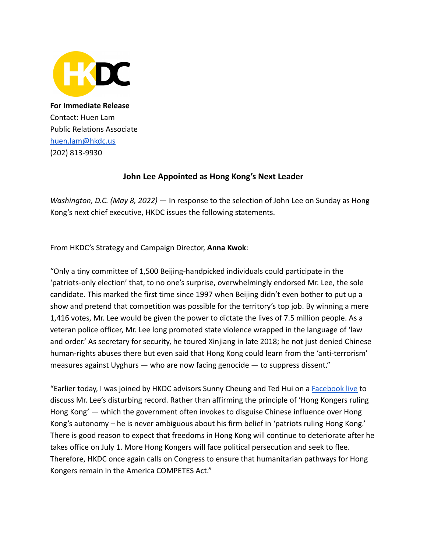

**For Immediate Release** Contact: Huen Lam Public Relations Associate [huen.lam@hkdc.us](mailto:huen.lam@hkdc.us) (202) 813-9930

## **John Lee Appointed as Hong Kong's Next Leader**

*Washington, D.C. (May 8, 2022)* — In response to the selection of John Lee on Sunday as Hong Kong's next chief executive, HKDC issues the following statements.

From HKDC's Strategy and Campaign Director, **Anna Kwok**:

"Only a tiny committee of 1,500 Beijing-handpicked individuals could participate in the 'patriots-only election' that, to no one's surprise, overwhelmingly endorsed Mr. Lee, the sole candidate. This marked the first time since 1997 when Beijing didn't even bother to put up a show and pretend that competition was possible for the territory's top job. By winning a mere 1,416 votes, Mr. Lee would be given the power to dictate the lives of 7.5 million people. As a veteran police officer, Mr. Lee long promoted state violence wrapped in the language of 'law and order.' As secretary for security, he toured Xinjiang in late 2018; he not just denied Chinese human-rights abuses there but even said that Hong Kong could learn from the 'anti-terrorism' measures against Uyghurs — who are now facing genocide — to suppress dissent."

"Earlier today, I was joined by HKDC advisors Sunny Cheung and Ted Hui on a [Facebook live](https://www.facebook.com/hkdc.us/videos/1192775334869073/) to discuss Mr. Lee's disturbing record. Rather than affirming the principle of 'Hong Kongers ruling Hong Kong' — which the government often invokes to disguise Chinese influence over Hong Kong's autonomy – he is never ambiguous about his firm belief in 'patriots ruling Hong Kong.' There is good reason to expect that freedoms in Hong Kong will continue to deteriorate after he takes office on July 1. More Hong Kongers will face political persecution and seek to flee. Therefore, HKDC once again calls on Congress to ensure that humanitarian pathways for Hong Kongers remain in the America COMPETES Act."